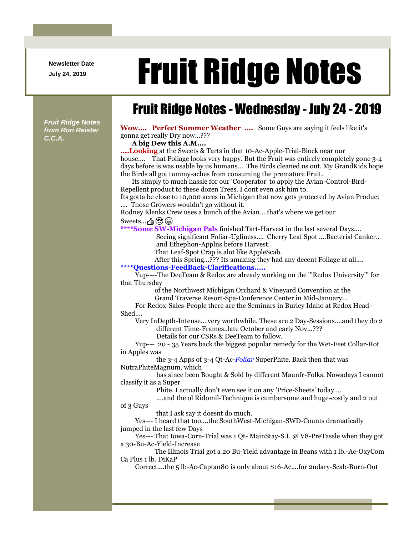**Newsletter Date**

## Newsletter Date **Fruit Ridge Notes**

## Fruit Ridge Notes - Wednesday - July 24 - 2019

*Fruit Ridge Notes from Ron Reister C.C.A.*

**Wow.... Perfect Summer Weather ....** Some Guys are saying it feels like it's gonna get really Dry now...???

**A big Dew this A.M....**

**....Looking** at the Sweets & Tarts in that 10-Ac-Apple-Trial-Block near our house.... That Foliage looks very happy. But the Fruit was entirely completely gone 3-4 days before is was usable by us humans... The Birds cleaned us out. My GrandKids hope the Birds all got tummy-aches from consuming the premature Fruit.

Its simply to much hassle for our 'Cooperator' to apply the Avian-Control-Bird-Repellent product to these dozen Trees. I dont even ask him to.

Its gotta be close to 10,000 acres in Michigan that now gets protected by Avian Product .... Those Growers wouldn't go without it.

Rodney Klenks Crew uses a bunch of the Avian....that's where we get our Sweets... A (C)

**\*\*\*\*Some SW-Michigan Pals** finished Tart-Harvest in the last several Days....

Seeing significant Foliar-Ugliness.... Cherry Leaf Spot ....Bacterial Canker.. and Ethephon-Applns before Harvest.

That Leaf-Spot Crap is alot like AppleScab.

After this Spring...??? Its amazing they had any decent Foliage at all....

**\*\*\*\*Questions-FeedBack-Clarifications.....**

Yup----The DeeTeam & Redox are already working on the '''Redox University''' for that Thursday

of the Northwest Michigan Orchard & Vineyard Convention at the

Grand Traverse Resort-Spa-Conference Center in Mid-January...

For Redox-Sales-People there are the Seminars in Burley Idaho at Redox Head-Shed....

Very InDepth-Intense... very worthwhile. These are 2 Day-Sessions....and they do 2 different Time-Frames..late October and early Nov...???

Details for our CSRs & DeeTeam to follow.

Yup--- 20 - 35 Years back the biggest popular remedy for the Wet-Feet Collar-Rot in Apples was

the 3-4 Apps of 3-4 Qt-Ac-*Foliar* SuperPhite. Back then that was NutraPhiteMagnum, which

has since been Bought & Sold by different Maunfr-Folks. Nowadays I cannot classify it as a Super

Phite. I actually don't even see it on any 'Price-Sheets' today....

....and the ol Ridomil-Technique is cumbersome and huge-costly and 2 out of 3 Guys

that I ask say it doesnt do much.

Yes--- I heard that too....the SouthWest-Michigan-SWD-Counts dramatically jumped in the last few Days

Yes--- That Iowa-Corn-Trial was 1 Qt- MainStay-S.I. @ V8-PreTassle when they got a 30-Bu-Ac-Yield-Increase

The Illinois Trial got a 20 Bu-Yield advantage in Beans with 1 lb.-Ac-OxyCom Ca Plus 1 lb. DiKaP

Correct....the 5 lb-Ac-Captan80 is only about \$16-Ac....for 2ndary-Scab-Burn-Out